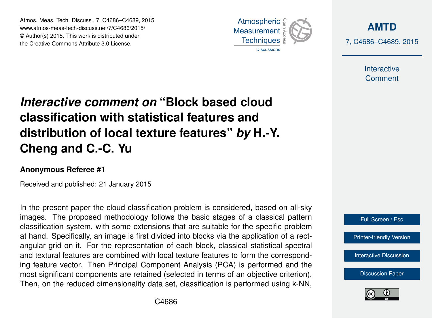Atmos. Meas. Tech. Discuss., 7, C4686–C4689, 2015 www.atmos-meas-tech-discuss.net/7/C4686/2015/ © Author(s) 2015. This work is distributed under the Creative Commons Attribute 3.0 License.



**[AMTD](http://www.atmos-meas-tech-discuss.net)** 7, C4686–C4689, 2015

> Interactive **Comment**

## *Interactive comment on* **"Block based cloud classification with statistical features and distribution of local texture features"** *by* **H.-Y. Cheng and C.-C. Yu**

## **Anonymous Referee #1**

Received and published: 21 January 2015

In the present paper the cloud classification problem is considered, based on all-sky images. The proposed methodology follows the basic stages of a classical pattern classification system, with some extensions that are suitable for the specific problem at hand. Specifically, an image is first divided into blocks via the application of a rectangular grid on it. For the representation of each block, classical statistical spectral and textural features are combined with local texture features to form the corresponding feature vector. Then Principal Component Analysis (PCA) is performed and the most significant components are retained (selected in terms of an objective criterion). Then, on the reduced dimensionality data set, classification is performed using k-NN,



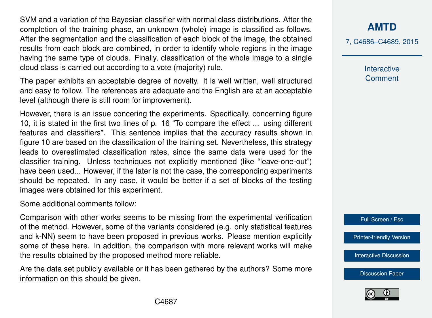SVM and a variation of the Bayesian classifier with normal class distributions. After the completion of the training phase, an unknown (whole) image is classified as follows. After the segmentation and the classification of each block of the image, the obtained results from each block are combined, in order to identify whole regions in the image having the same type of clouds. Finally, classification of the whole image to a single cloud class is carried out according to a vote (majority) rule.

The paper exhibits an acceptable degree of novelty. It is well written, well structured and easy to follow. The references are adequate and the English are at an acceptable level (although there is still room for improvement).

However, there is an issue concering the experiments. Specifically, concerning figure 10, it is stated in the first two lines of p. 16 "To compare the effect ... using different features and classifiers". This sentence implies that the accuracy results shown in figure 10 are based on the classification of the training set. Nevertheless, this strategy leads to overestimated classification rates, since the same data were used for the classifier training. Unless techniques not explicitly mentioned (like "leave-one-out") have been used... However, if the later is not the case, the corresponding experiments should be repeated. In any case, it would be better if a set of blocks of the testing images were obtained for this experiment.

Some additional comments follow:

Comparison with other works seems to be missing from the experimental verification of the method. However, some of the variants considered (e.g. only statistical features and k-NN) seem to have been proposed in previous works. Please mention explicitly some of these here. In addition, the comparison with more relevant works will make the results obtained by the proposed method more reliable.

Are the data set publicly available or it has been gathered by the authors? Some more information on this should be given.

**[AMTD](http://www.atmos-meas-tech-discuss.net)**

7, C4686–C4689, 2015

Interactive **Comment** 

Full Screen / Esc

[Printer-friendly Version](http://www.atmos-meas-tech-discuss.net/7/C4686/2015/amtd-7-C4686-2015-print.pdf)

[Interactive Discussion](http://www.atmos-meas-tech-discuss.net/7/11771/2014/amtd-7-11771-2014-discussion.html)

[Discussion Paper](http://www.atmos-meas-tech-discuss.net/7/11771/2014/amtd-7-11771-2014.pdf)

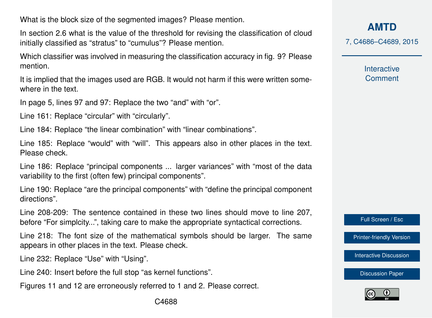What is the block size of the segmented images? Please mention.

In section 2.6 what is the value of the threshold for revising the classification of cloud initially classified as "stratus" to "cumulus"? Please mention.

Which classifier was involved in measuring the classification accuracy in fig. 9? Please mention.

It is implied that the images used are RGB. It would not harm if this were written somewhere in the text.

In page 5, lines 97 and 97: Replace the two "and" with "or".

Line 161: Replace "circular" with "circularly".

Line 184: Replace "the linear combination" with "linear combinations".

Line 185: Replace "would" with "will". This appears also in other places in the text. Please check.

Line 186: Replace "principal components ... larger variances" with "most of the data variability to the first (often few) principal components".

Line 190: Replace "are the principal components" with "define the principal component directions".

Line 208-209: The sentence contained in these two lines should move to line 207, before "For simplcity...", taking care to make the appropriate syntactical corrections.

Line 218: The font size of the mathematical symbols should be larger. The same appears in other places in the text. Please check.

Line 232: Replace "Use" with "Using".

Line 240: Insert before the full stop "as kernel functions".

Figures 11 and 12 are erroneously referred to 1 and 2. Please correct.

**[AMTD](http://www.atmos-meas-tech-discuss.net)**

7, C4686–C4689, 2015

Interactive **Comment** 

Full Screen / Esc

[Printer-friendly Version](http://www.atmos-meas-tech-discuss.net/7/C4686/2015/amtd-7-C4686-2015-print.pdf)

[Interactive Discussion](http://www.atmos-meas-tech-discuss.net/7/11771/2014/amtd-7-11771-2014-discussion.html)

[Discussion Paper](http://www.atmos-meas-tech-discuss.net/7/11771/2014/amtd-7-11771-2014.pdf)